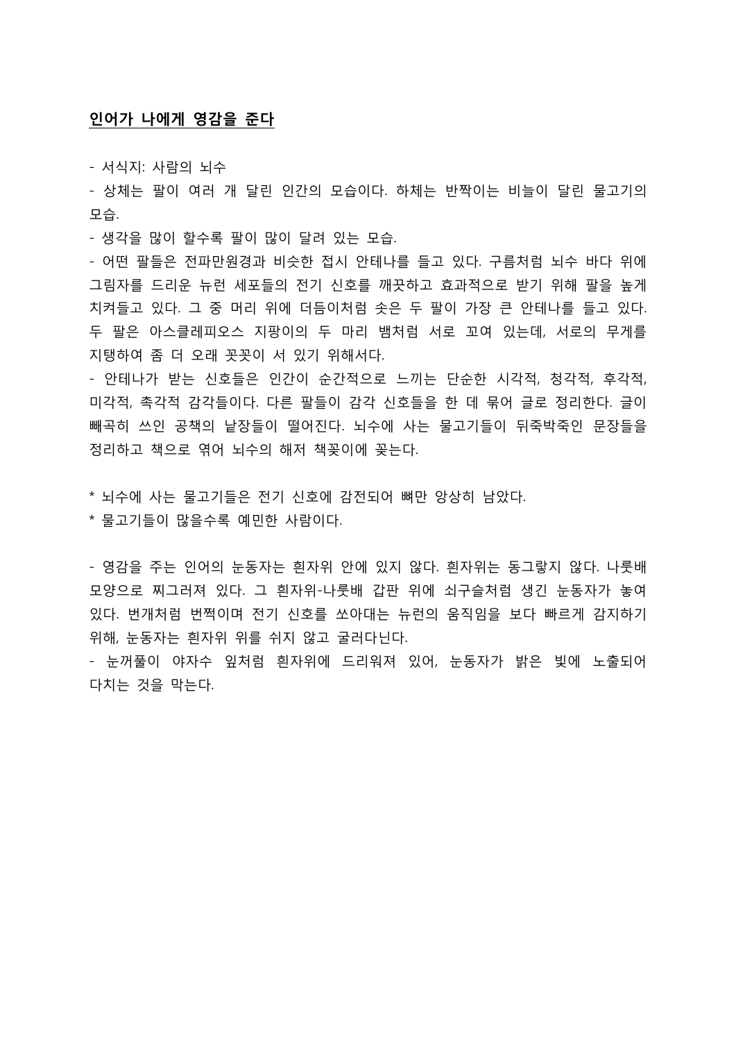## 인어가 나에게 영감을 준다

- 서식지: 사람의 뇌수

- 상체는 팔이 여러 개 달린 인간의 모습이다. 하체는 반짝이는 비늘이 달린 물고기의 모습.

- 생각을 많이 할수록 팔이 많이 달려 있는 모습.

- 어떤 팔들은 전파만원경과 비슷한 접시 안테나를 들고 있다. 구름처럼 뇌수 바다 위에 그림자를 드리운 뉴런 세포들의 전기 신호를 깨끗하고 효과적으로 받기 위해 팔을 높게 치켜들고 있다. 그 중 머리 위에 더듬이처럼 솟은 두 팔이 가장 큰 안테나를 들고 있다. 두 팔은 아스클레피오스 지팡이의 두 마리 뱀처럼 서로 꼬여 있는데, 서로의 무게를 지탱하여 좀 더 오래 꼿꼿이 서 있기 위해서다.

- 안테나가 받는 신호들은 인간이 순간적으로 느끼는 단순한 시각적, 청각적, 후각적, 미각적, 촉각적 감각들이다. 다른 팔들이 감각 신호들을 한 데 묶어 글로 정리한다. 글이 빼곡히 쓰인 공책의 낱장들이 떨어진다. 뇌수에 사는 물고기들이 뒤죽박죽인 문장들을 정리하고 책으로 엮어 뇌수의 해저 책꽂이에 꽂는다.

\* 뇌수에 사는 물고기들은 전기 신호에 감전되어 뼈만 앙상히 남았다.

\* 물고기들이 많을수록 예민한 사람이다.

- 영감을 주는 인어의 눈동자는 흰자위 안에 있지 않다. 흰자위는 동그랗지 않다. 나룻배 모양으로 찌그러져 있다. 그 흰자위-나룻배 갑판 위에 쇠구슬처럼 생긴 눈동자가 놓여 있다. 번개처럼 번쩍이며 전기 신호를 쏘아대는 뉴런의 움직임을 보다 빠르게 감지하기 위해, 눈동자는 흰자위 위를 쉬지 않고 굴러다닌다.

- 눈꺼풀이 야자수 잎처럼 흰자위에 드리워져 있어, 눈동자가 밝은 빛에 노출되어 다치는 것을 막는다.